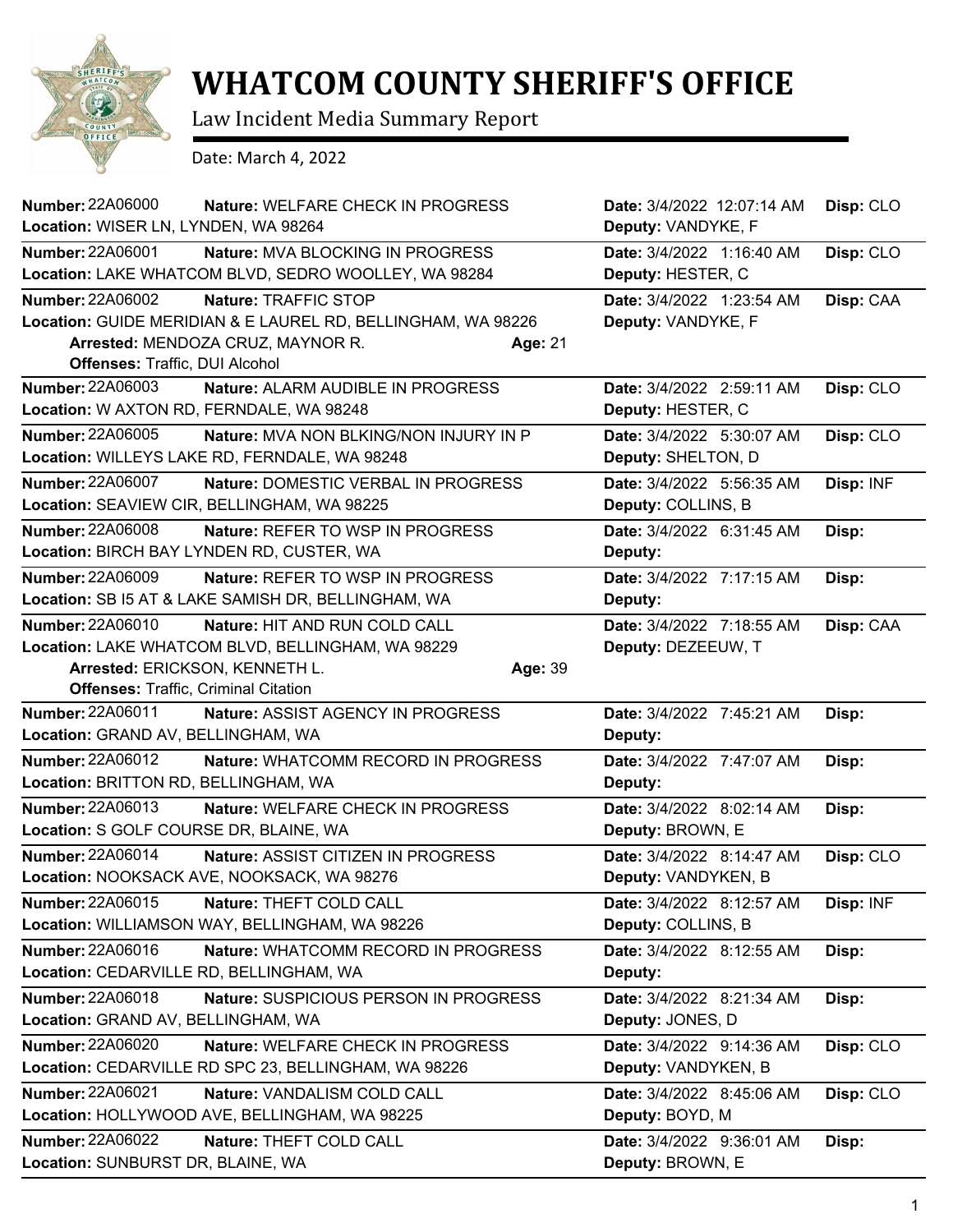

## **WHATCOM COUNTY SHERIFF'S OFFICE**

Law Incident Media Summary Report

Date: March 4, 2022

| Number: 22A06000<br>Location: WISER LN, LYNDEN, WA 98264                                          | Nature: WELFARE CHECK IN PROGRESS                                                                                         |         | Date: 3/4/2022 12:07:14 AM<br>Deputy: VANDYKE, F | Disp: CLO |
|---------------------------------------------------------------------------------------------------|---------------------------------------------------------------------------------------------------------------------------|---------|--------------------------------------------------|-----------|
| <b>Number: 22A06001</b>                                                                           | Nature: MVA BLOCKING IN PROGRESS<br>Location: LAKE WHATCOM BLVD, SEDRO WOOLLEY, WA 98284                                  |         | Date: 3/4/2022 1:16:40 AM<br>Deputy: HESTER, C   | Disp: CLO |
| <b>Number: 22A06002</b><br>Offenses: Traffic, DUI Alcohol                                         | Nature: TRAFFIC STOP<br>Location: GUIDE MERIDIAN & E LAUREL RD, BELLINGHAM, WA 98226<br>Arrested: MENDOZA CRUZ, MAYNOR R. | Age: 21 | Date: 3/4/2022 1:23:54 AM<br>Deputy: VANDYKE, F  | Disp: CAA |
| Number: 22A06003<br>Location: W AXTON RD, FERNDALE, WA 98248                                      | Nature: ALARM AUDIBLE IN PROGRESS                                                                                         |         | Date: 3/4/2022 2:59:11 AM<br>Deputy: HESTER, C   | Disp: CLO |
| <b>Number: 22A06005</b>                                                                           | <b>Nature: MVA NON BLKING/NON INJURY IN P</b><br>Location: WILLEYS LAKE RD, FERNDALE, WA 98248                            |         | Date: 3/4/2022 5:30:07 AM<br>Deputy: SHELTON, D  | Disp: CLO |
| <b>Number: 22A06007</b>                                                                           | Nature: DOMESTIC VERBAL IN PROGRESS<br>Location: SEAVIEW CIR, BELLINGHAM, WA 98225                                        |         | Date: 3/4/2022 5:56:35 AM<br>Deputy: COLLINS, B  | Disp: INF |
| <b>Number: 22A06008</b>                                                                           | <b>Nature: REFER TO WSP IN PROGRESS</b><br>Location: BIRCH BAY LYNDEN RD, CUSTER, WA                                      |         | Date: 3/4/2022 6:31:45 AM<br>Deputy:             | Disp:     |
| <b>Number: 22A06009</b>                                                                           | Nature: REFER TO WSP IN PROGRESS<br>Location: SB I5 AT & LAKE SAMISH DR, BELLINGHAM, WA                                   |         | Date: 3/4/2022 7:17:15 AM<br>Deputy:             | Disp:     |
| Number: 22A06010<br>Arrested: ERICKSON, KENNETH L.<br><b>Offenses: Traffic, Criminal Citation</b> | Nature: HIT AND RUN COLD CALL<br>Location: LAKE WHATCOM BLVD, BELLINGHAM, WA 98229                                        | Age: 39 | Date: 3/4/2022 7:18:55 AM<br>Deputy: DEZEEUW, T  | Disp: CAA |
| <b>Number: 22A06011</b><br>Location: GRAND AV, BELLINGHAM, WA                                     | <b>Nature: ASSIST AGENCY IN PROGRESS</b>                                                                                  |         | Date: 3/4/2022 7:45:21 AM<br>Deputy:             | Disp:     |
| Number: 22A06012<br>Location: BRITTON RD, BELLINGHAM, WA                                          | Nature: WHATCOMM RECORD IN PROGRESS                                                                                       |         | Date: 3/4/2022 7:47:07 AM<br>Deputy:             | Disp:     |
| Number: 22A06013<br>Location: S GOLF COURSE DR, BLAINE, WA                                        | <b>Nature: WELFARE CHECK IN PROGRESS</b>                                                                                  |         | Date: 3/4/2022 8:02:14 AM<br>Deputy: BROWN, E    | Disp:     |
| Number: 22A06014                                                                                  | Nature: ASSIST CITIZEN IN PROGRESS<br>Location: NOOKSACK AVE, NOOKSACK, WA 98276                                          |         | Date: 3/4/2022 8:14:47 AM<br>Deputy: VANDYKEN, B | Disp: CLO |
| Number: 22A06015                                                                                  | Nature: THEFT COLD CALL<br>Location: WILLIAMSON WAY, BELLINGHAM, WA 98226                                                 |         | Date: 3/4/2022 8:12:57 AM<br>Deputy: COLLINS, B  | Disp: INF |
| Number: 22A06016<br>Location: CEDARVILLE RD, BELLINGHAM, WA                                       | Nature: WHATCOMM RECORD IN PROGRESS                                                                                       |         | Date: 3/4/2022 8:12:55 AM<br>Deputy:             | Disp:     |
| <b>Number: 22A06018</b><br>Location: GRAND AV, BELLINGHAM, WA                                     | Nature: SUSPICIOUS PERSON IN PROGRESS                                                                                     |         | Date: 3/4/2022 8:21:34 AM<br>Deputy: JONES, D    | Disp:     |
| <b>Number: 22A06020</b>                                                                           | Nature: WELFARE CHECK IN PROGRESS<br>Location: CEDARVILLE RD SPC 23, BELLINGHAM, WA 98226                                 |         | Date: 3/4/2022 9:14:36 AM<br>Deputy: VANDYKEN, B | Disp: CLO |
| Number: 22A06021                                                                                  | Nature: VANDALISM COLD CALL<br>Location: HOLLYWOOD AVE, BELLINGHAM, WA 98225                                              |         | Date: 3/4/2022 8:45:06 AM<br>Deputy: BOYD, M     | Disp: CLO |
| Number: 22A06022<br>Location: SUNBURST DR, BLAINE, WA                                             | Nature: THEFT COLD CALL                                                                                                   |         | Date: 3/4/2022 9:36:01 AM<br>Deputy: BROWN, E    | Disp:     |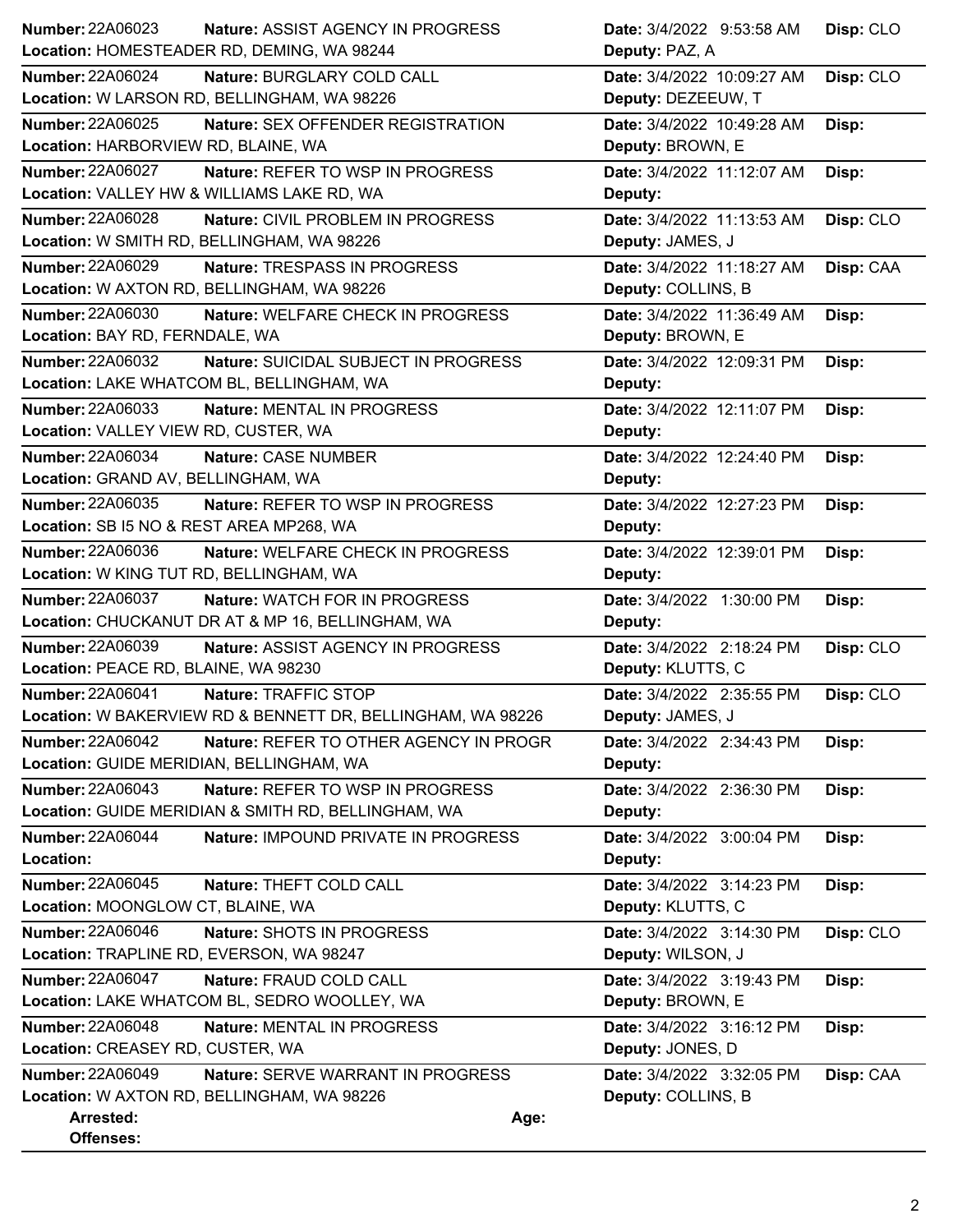| <b>Number: 22A06023</b><br><b>Nature: ASSIST AGENCY IN PROGRESS</b> | Date: 3/4/2022 9:53:58 AM<br>Disp: CLO  |
|---------------------------------------------------------------------|-----------------------------------------|
| Location: HOMESTEADER RD, DEMING, WA 98244                          | Deputy: PAZ, A                          |
| Number: 22A06024<br>Nature: BURGLARY COLD CALL                      | Date: 3/4/2022 10:09:27 AM<br>Disp: CLO |
| Location: W LARSON RD, BELLINGHAM, WA 98226                         | Deputy: DEZEEUW, T                      |
| <b>Number: 22A06025</b><br>Nature: SEX OFFENDER REGISTRATION        | Date: 3/4/2022 10:49:28 AM<br>Disp:     |
| Location: HARBORVIEW RD, BLAINE, WA                                 | Deputy: BROWN, E                        |
| <b>Number: 22A06027</b><br>Nature: REFER TO WSP IN PROGRESS         | Date: 3/4/2022 11:12:07 AM<br>Disp:     |
| Location: VALLEY HW & WILLIAMS LAKE RD, WA                          | Deputy:                                 |
| <b>Number: 22A06028</b><br>Nature: CIVIL PROBLEM IN PROGRESS        | Date: 3/4/2022 11:13:53 AM<br>Disp: CLO |
| Location: W SMITH RD, BELLINGHAM, WA 98226                          | Deputy: JAMES, J                        |
| <b>Number: 22A06029</b><br>Nature: TRESPASS IN PROGRESS             | Date: 3/4/2022 11:18:27 AM<br>Disp: CAA |
| Location: W AXTON RD, BELLINGHAM, WA 98226                          | Deputy: COLLINS, B                      |
| <b>Number: 22A06030</b><br>Nature: WELFARE CHECK IN PROGRESS        | Date: 3/4/2022 11:36:49 AM<br>Disp:     |
| Location: BAY RD, FERNDALE, WA                                      | Deputy: BROWN, E                        |
| Number: 22A06032<br>Nature: SUICIDAL SUBJECT IN PROGRESS            | Date: 3/4/2022 12:09:31 PM<br>Disp:     |
| Location: LAKE WHATCOM BL, BELLINGHAM, WA                           | Deputy:                                 |
| <b>Number: 22A06033</b><br>Nature: MENTAL IN PROGRESS               | Date: 3/4/2022 12:11:07 PM<br>Disp:     |
| Location: VALLEY VIEW RD, CUSTER, WA                                | Deputy:                                 |
| Number: 22A06034<br>Nature: CASE NUMBER                             | Date: 3/4/2022 12:24:40 PM<br>Disp:     |
| Location: GRAND AV, BELLINGHAM, WA                                  | Deputy:                                 |
| Number: 22A06035<br>Nature: REFER TO WSP IN PROGRESS                | Date: 3/4/2022 12:27:23 PM<br>Disp:     |
| Location: SB I5 NO & REST AREA MP268, WA                            | Deputy:                                 |
| Number: 22A06036<br>Nature: WELFARE CHECK IN PROGRESS               | Date: 3/4/2022 12:39:01 PM<br>Disp:     |
| Location: W KING TUT RD, BELLINGHAM, WA                             | Deputy:                                 |
| <b>Number: 22A06037</b><br><b>Nature: WATCH FOR IN PROGRESS</b>     | Date: 3/4/2022 1:30:00 PM<br>Disp:      |
| Location: CHUCKANUT DR AT & MP 16, BELLINGHAM, WA                   | Deputy:                                 |
| <b>Number: 22A06039</b><br>Nature: ASSIST AGENCY IN PROGRESS        | Date: 3/4/2022 2:18:24 PM<br>Disp: CLO  |
| Location: PEACE RD, BLAINE, WA 98230                                | Deputy: KLUTTS, C                       |
| <b>Number: 22A06041</b><br>Nature: TRAFFIC STOP                     | Date: 3/4/2022 2:35:55 PM<br>Disp: CLO  |
| Location: W BAKERVIEW RD & BENNETT DR, BELLINGHAM, WA 98226         | Deputy: JAMES, J                        |
| <b>Number: 22A06042</b><br>Nature: REFER TO OTHER AGENCY IN PROGR   | Date: 3/4/2022 2:34:43 PM<br>Disp:      |
| Location: GUIDE MERIDIAN, BELLINGHAM, WA                            | Deputy:                                 |
| Number: 22A06043<br>Nature: REFER TO WSP IN PROGRESS                | Date: 3/4/2022 2:36:30 PM<br>Disp:      |
| Location: GUIDE MERIDIAN & SMITH RD, BELLINGHAM, WA                 | Deputy:                                 |
| <b>Number: 22A06044</b><br>Nature: IMPOUND PRIVATE IN PROGRESS      | Date: 3/4/2022 3:00:04 PM<br>Disp:      |
| Location:                                                           | Deputy:                                 |
| Number: 22A06045<br>Nature: THEFT COLD CALL                         | Date: 3/4/2022 3:14:23 PM<br>Disp:      |
| Location: MOONGLOW CT, BLAINE, WA                                   | Deputy: KLUTTS, C                       |
| Number: 22A06046<br>Nature: SHOTS IN PROGRESS                       | Date: 3/4/2022 3:14:30 PM<br>Disp: CLO  |
| Location: TRAPLINE RD, EVERSON, WA 98247                            | Deputy: WILSON, J                       |
| Number: 22A06047<br>Nature: FRAUD COLD CALL                         | Date: 3/4/2022 3:19:43 PM<br>Disp:      |
| Location: LAKE WHATCOM BL, SEDRO WOOLLEY, WA                        | Deputy: BROWN, E                        |
| <b>Number: 22A06048</b><br>Nature: MENTAL IN PROGRESS               | Date: 3/4/2022 3:16:12 PM<br>Disp:      |
| Location: CREASEY RD, CUSTER, WA                                    | Deputy: JONES, D                        |
| <b>Number: 22A06049</b><br><b>Nature: SERVE WARRANT IN PROGRESS</b> | Date: 3/4/2022 3:32:05 PM<br>Disp: CAA  |
| Location: W AXTON RD, BELLINGHAM, WA 98226                          | Deputy: COLLINS, B                      |
| Arrested:                                                           | Age:                                    |
| Offenses:                                                           |                                         |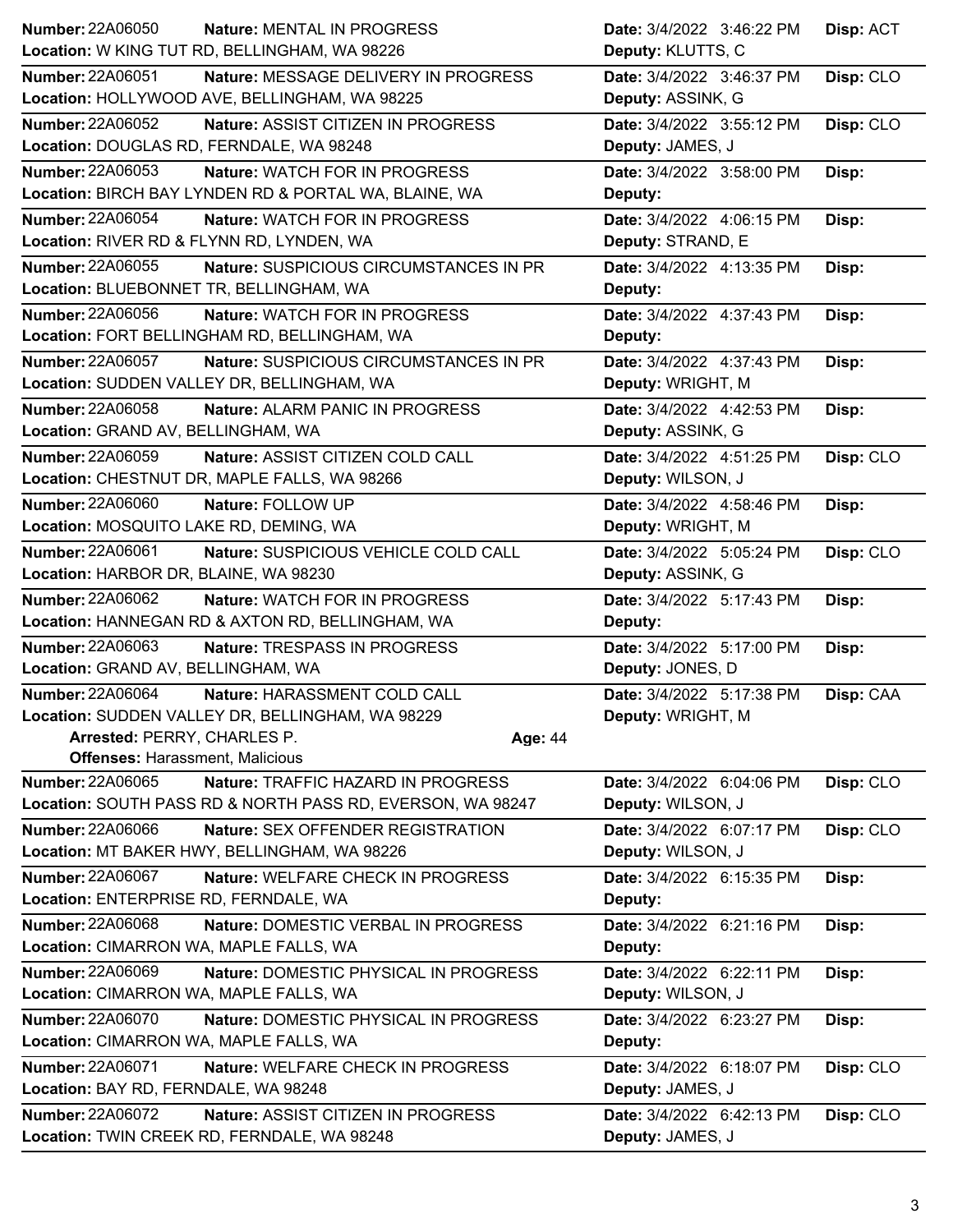| <b>Number: 22A06050</b><br>Nature: MENTAL IN PROGRESS             | Date: 3/4/2022 3:46:22 PM | Disp: ACT |
|-------------------------------------------------------------------|---------------------------|-----------|
| Location: W KING TUT RD, BELLINGHAM, WA 98226                     | Deputy: KLUTTS, C         |           |
| Number: 22A06051<br>Nature: MESSAGE DELIVERY IN PROGRESS          | Date: 3/4/2022 3:46:37 PM | Disp: CLO |
| Location: HOLLYWOOD AVE, BELLINGHAM, WA 98225                     | Deputy: ASSINK, G         |           |
| <b>Number: 22A06052</b><br>Nature: ASSIST CITIZEN IN PROGRESS     | Date: 3/4/2022 3:55:12 PM | Disp: CLO |
| Location: DOUGLAS RD, FERNDALE, WA 98248                          | Deputy: JAMES, J          |           |
| <b>Number: 22A06053</b><br>Nature: WATCH FOR IN PROGRESS          | Date: 3/4/2022 3:58:00 PM | Disp:     |
| Location: BIRCH BAY LYNDEN RD & PORTAL WA, BLAINE, WA             | Deputy:                   |           |
| <b>Number: 22A06054</b><br>Nature: WATCH FOR IN PROGRESS          | Date: 3/4/2022 4:06:15 PM | Disp:     |
| Location: RIVER RD & FLYNN RD, LYNDEN, WA                         | Deputy: STRAND, E         |           |
| Number: 22A06055<br>Nature: SUSPICIOUS CIRCUMSTANCES IN PR        | Date: 3/4/2022 4:13:35 PM | Disp:     |
| Location: BLUEBONNET TR, BELLINGHAM, WA                           | Deputy:                   |           |
| Number: 22A06056<br>Nature: WATCH FOR IN PROGRESS                 | Date: 3/4/2022 4:37:43 PM | Disp:     |
| Location: FORT BELLINGHAM RD, BELLINGHAM, WA                      | Deputy:                   |           |
| <b>Number: 22A06057</b><br>Nature: SUSPICIOUS CIRCUMSTANCES IN PR | Date: 3/4/2022 4:37:43 PM | Disp:     |
| Location: SUDDEN VALLEY DR, BELLINGHAM, WA                        | Deputy: WRIGHT, M         |           |
| Number: 22A06058<br><b>Nature: ALARM PANIC IN PROGRESS</b>        | Date: 3/4/2022 4:42:53 PM | Disp:     |
| Location: GRAND AV, BELLINGHAM, WA                                | Deputy: ASSINK, G         |           |
| Number: 22A06059<br>Nature: ASSIST CITIZEN COLD CALL              | Date: 3/4/2022 4:51:25 PM | Disp: CLO |
| Location: CHESTNUT DR, MAPLE FALLS, WA 98266                      | Deputy: WILSON, J         |           |
| <b>Number: 22A06060</b><br>Nature: FOLLOW UP                      | Date: 3/4/2022 4:58:46 PM | Disp:     |
| Location: MOSQUITO LAKE RD, DEMING, WA                            | Deputy: WRIGHT, M         |           |
| Number: 22A06061<br>Nature: SUSPICIOUS VEHICLE COLD CALL          | Date: 3/4/2022 5:05:24 PM | Disp: CLO |
| Location: HARBOR DR, BLAINE, WA 98230                             | Deputy: ASSINK, G         |           |
| <b>Number: 22A06062</b><br>Nature: WATCH FOR IN PROGRESS          | Date: 3/4/2022 5:17:43 PM | Disp:     |
| Location: HANNEGAN RD & AXTON RD, BELLINGHAM, WA                  | Deputy:                   |           |
| Number: 22A06063<br>Nature: TRESPASS IN PROGRESS                  | Date: 3/4/2022 5:17:00 PM | Disp:     |
| Location: GRAND AV, BELLINGHAM, WA                                | Deputy: JONES, D          |           |
| <b>Number: 22A06064</b><br>Nature: HARASSMENT COLD CALL           | Date: 3/4/2022 5:17:38 PM | Disp: CAA |
| Location: SUDDEN VALLEY DR, BELLINGHAM, WA 98229                  | Deputy: WRIGHT, M         |           |
| Arrested: PERRY, CHARLES P.<br>Age: 44                            |                           |           |
| <b>Offenses: Harassment, Malicious</b>                            |                           |           |
| <b>Number: 22A06065</b><br>Nature: TRAFFIC HAZARD IN PROGRESS     | Date: 3/4/2022 6:04:06 PM | Disp: CLO |
| Location: SOUTH PASS RD & NORTH PASS RD, EVERSON, WA 98247        | Deputy: WILSON, J         |           |
|                                                                   |                           |           |
| Number: 22A06066<br>Nature: SEX OFFENDER REGISTRATION             | Date: 3/4/2022 6:07:17 PM | Disp: CLO |
| Location: MT BAKER HWY, BELLINGHAM, WA 98226                      | Deputy: WILSON, J         |           |
| Number: 22A06067<br>Nature: WELFARE CHECK IN PROGRESS             | Date: 3/4/2022 6:15:35 PM | Disp:     |
| Location: ENTERPRISE RD, FERNDALE, WA                             | Deputy:                   |           |
| <b>Number: 22A06068</b><br>Nature: DOMESTIC VERBAL IN PROGRESS    | Date: 3/4/2022 6:21:16 PM | Disp:     |
| Location: CIMARRON WA, MAPLE FALLS, WA                            | Deputy:                   |           |
| Number: 22A06069<br>Nature: DOMESTIC PHYSICAL IN PROGRESS         | Date: 3/4/2022 6:22:11 PM | Disp:     |
| Location: CIMARRON WA, MAPLE FALLS, WA                            | Deputy: WILSON, J         |           |
| Number: 22A06070<br>Nature: DOMESTIC PHYSICAL IN PROGRESS         | Date: 3/4/2022 6:23:27 PM | Disp:     |
| Location: CIMARRON WA, MAPLE FALLS, WA                            | Deputy:                   |           |
| Number: 22A06071<br>Nature: WELFARE CHECK IN PROGRESS             | Date: 3/4/2022 6:18:07 PM | Disp: CLO |
| Location: BAY RD, FERNDALE, WA 98248                              | Deputy: JAMES, J          |           |
| <b>Number: 22A06072</b><br>Nature: ASSIST CITIZEN IN PROGRESS     | Date: 3/4/2022 6:42:13 PM | Disp: CLO |